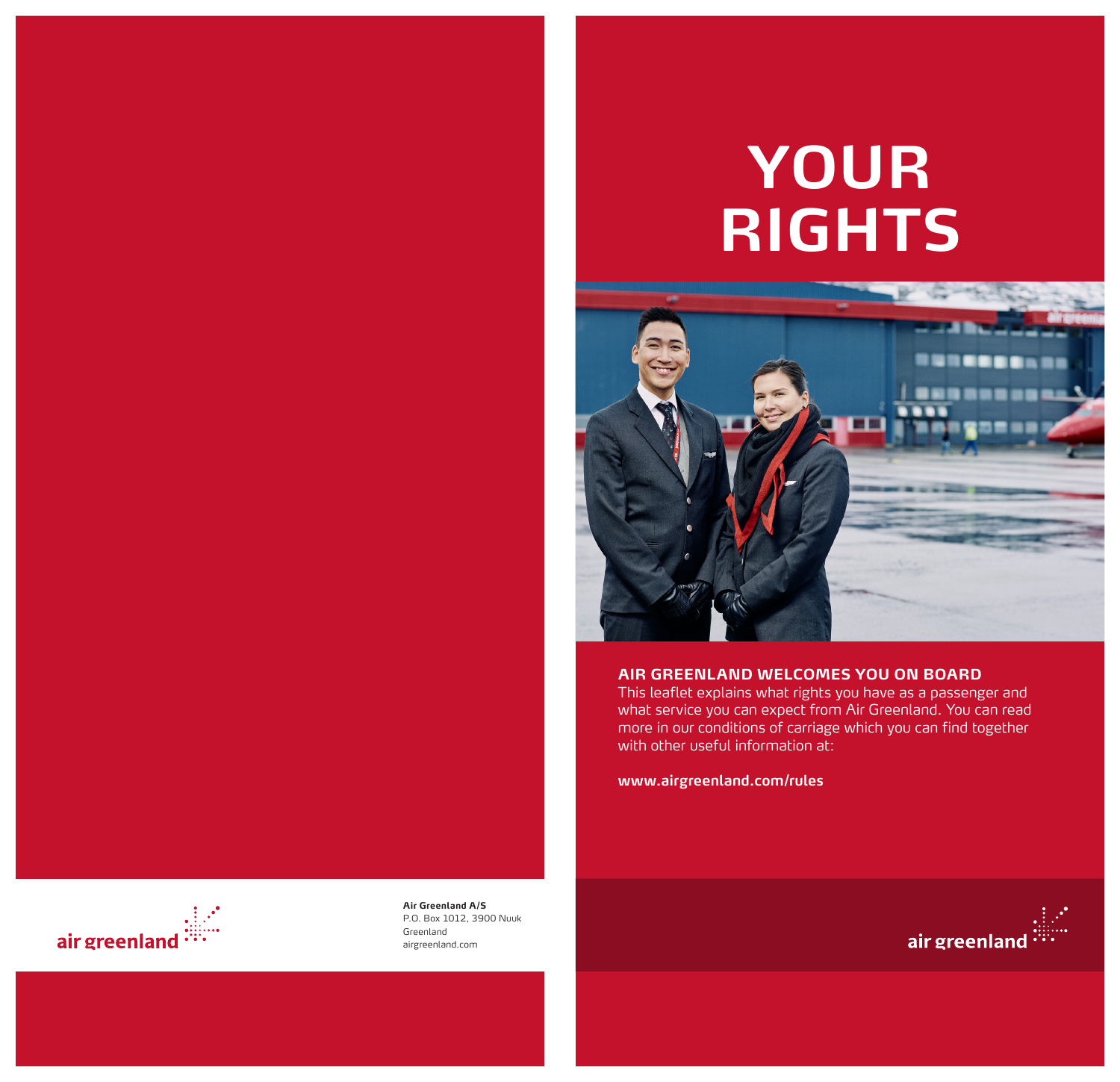# **YOUR RIGHTS**



#### **AIR GREENLAND WELCOMES YOU ON BOARD**

This leaflet explains what rights you have as a passenger and what service you can expect from Air Greenland. You can read more in our conditions of carriage which you can find together with other useful information at:

**www.airgreenland.com/rules** 



**Air Greenland A/S** P.O. Box 1012, 3900 Nuuk Greenland airgreenland.com

1 2

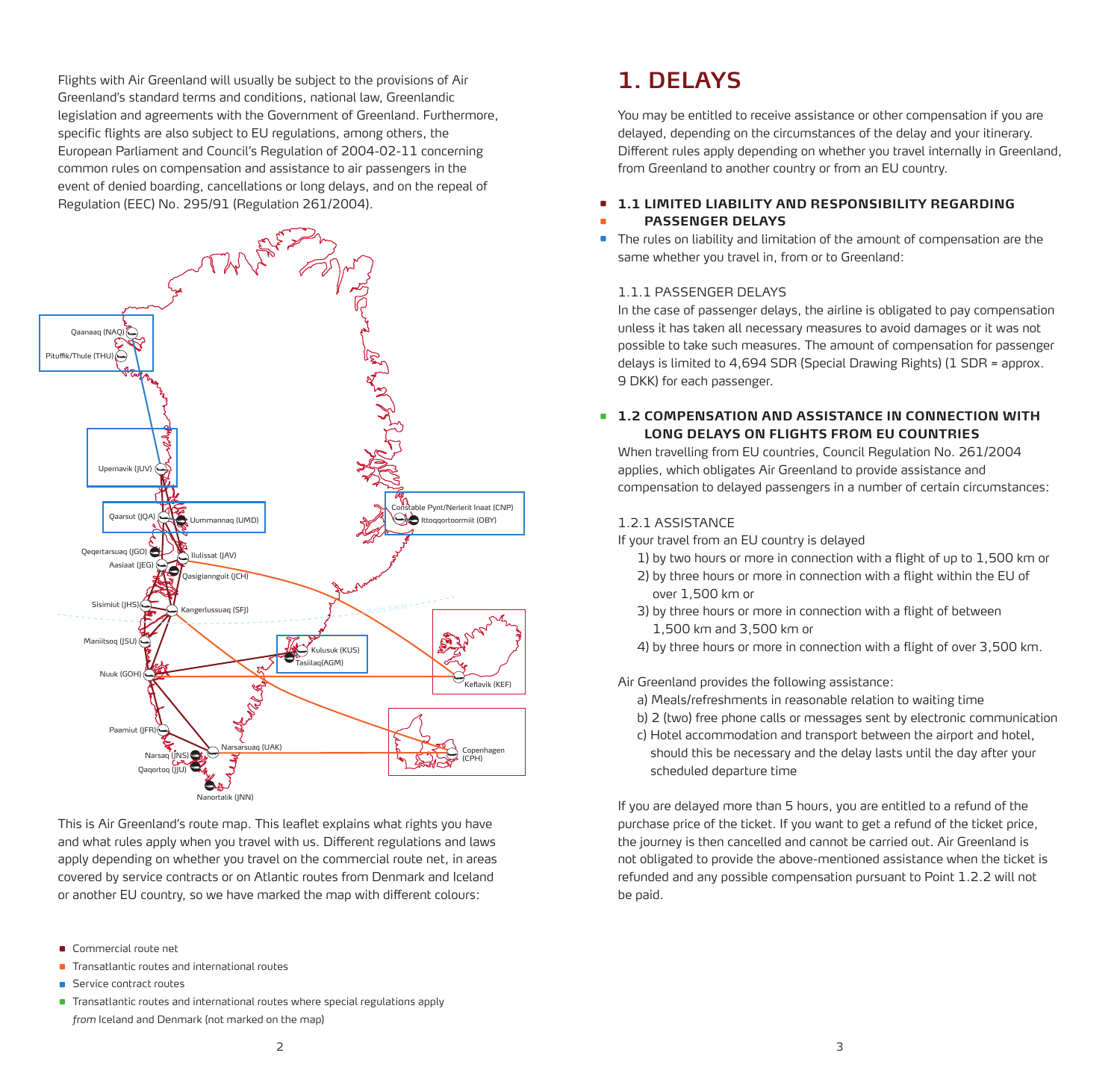Flights with Air Greenland will usually be subject to the provisions of Air Greenland's standard terms and conditions, national law, Greenlandic legislation and agreements with the Government of Greenland. Furthermore, specific flights are also subject to EU regulations, among others, the European Parliament and Council's Regulation of 2004-02-11 concerning common rules on compensation and assistance to air passengers in the event of denied boarding, cancellations or long delays, and on the repeal of Regulation (EEC) No. 295/91 (Regulation 261/2004).



This is Air Greenland's route map. This leaflet explains what rights you have and what rules apply when you travel with us. Different regulations and laws apply depending on whether you travel on the commercial route net, in areas covered by service contracts or on Atlantic routes from Denmark and Iceland or another EU country, so we have marked the map with different colours:

- **Commercial route net**
- Transatlantic routes and international routes •
- **•** Service contract routes
- Transatlantic routes and international routes where special regulations apply *from* Iceland and Denmark (not marked on the map)

You may be entitled to receive assistance or other compensation if you are delayed, depending on the circumstances of the delay and your itinerary. Different rules apply depending on whether you travel internally in Greenland, from Greenland to another country or from an EU country.

#### **1.1 LIMITED LIABILITY AND RESPONSIBILITY REGARDING PASSENGER DELAYS** • •

The rules on liability and limitation of the amount of compensation are the same whether you travel in, from or to Greenland: •

#### 1.1.1 PASSENGER DELAYS

In the case of passenger delays, the airline is obligated to pay compensation unless it has taken all necessary measures to avoid damages or it was not possible to take such measures. The amount of compensation for passenger delays is limited to 4,694 SDR (Special Drawing Rights) (1 SDR = approx. 9 DKK) for each passenger.

#### **1.2 COMPENSATION AND ASSISTANCE IN CONNECTION WITH LONG DELAYS ON FLIGHTS FROM EU COUNTRIES**

When travelling from EU countries, Council Regulation No. 261/2004 applies, which obligates Air Greenland to provide assistance and compensation to delayed passengers in a number of certain circumstances:

#### 1.2.1 ASSISTANCE

If your travel from an EU country is delayed

- 1) by two hours or more in connection with a flight of up to 1,500 km or
- 2) by three hours or more in connection with a flight within the EU of over 1,500 km or
- 3) by three hours or more in connection with a flight of between 1,500 km and 3,500 km or
- 4) by three hours or more in connection with a flight of over 3,500 km.
- Air Greenland provides the following assistance:
	- a) Meals/refreshments in reasonable relation to waiting time
	- b) 2 (two) free phone calls or messages sent by electronic communication
	- c) Hotel accommodation and transport between the airport and hotel, should this be necessary and the delay lasts until the day after your scheduled departure time

If you are delayed more than 5 hours, you are entitled to a refund of the purchase price of the ticket. If you want to get a refund of the ticket price, the journey is then cancelled and cannot be carried out. Air Greenland is not obligated to provide the above-mentioned assistance when the ticket is refunded and any possible compensation pursuant to Point 1.2.2 will not be paid.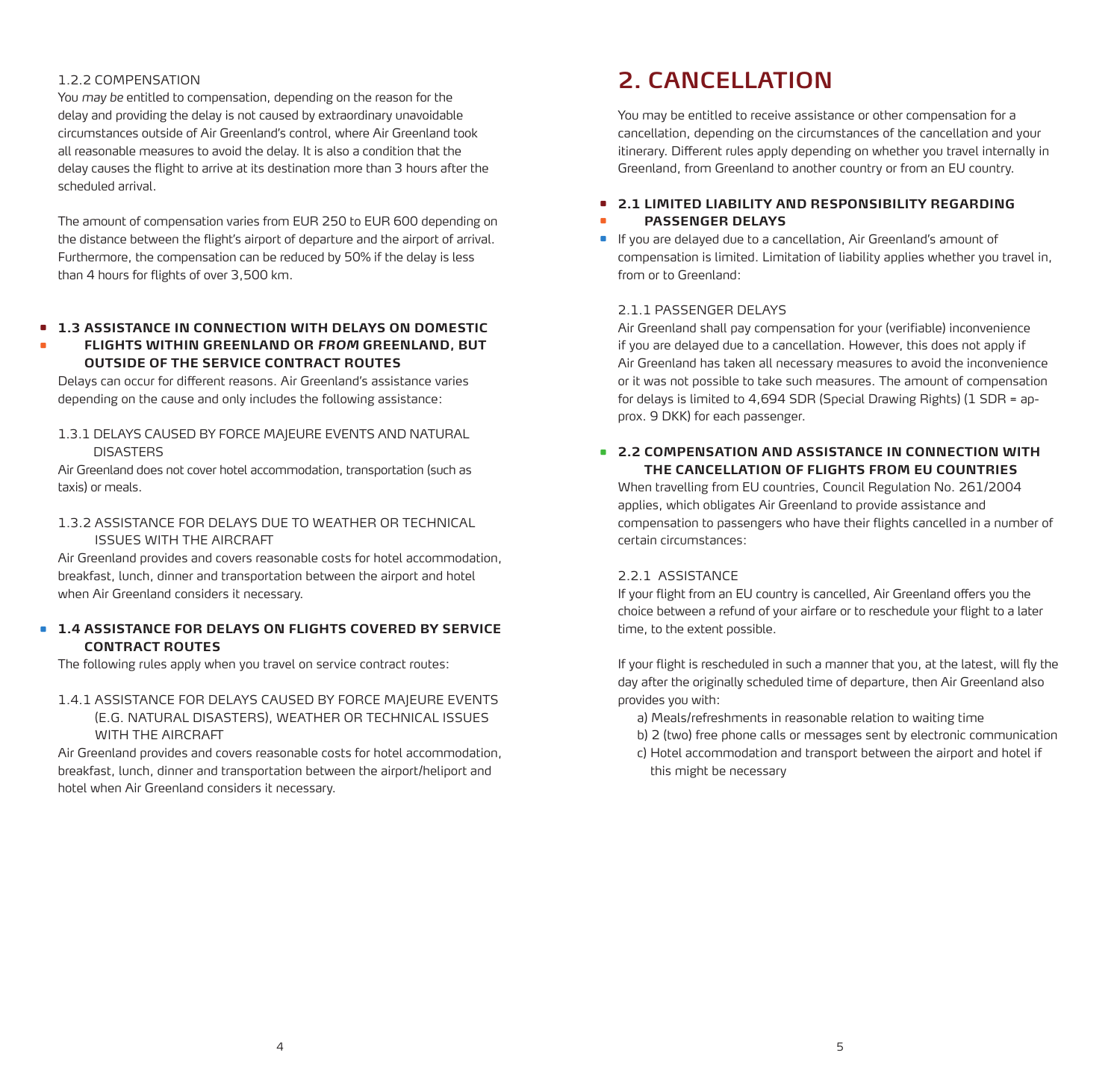#### 1.2.2 COMPENSATION

You *may be* entitled to compensation, depending on the reason for the delay and providing the delay is not caused by extraordinary unavoidable circumstances outside of Air Greenland's control, where Air Greenland took all reasonable measures to avoid the delay. It is also a condition that the delay causes the flight to arrive at its destination more than 3 hours after the scheduled arrival.

The amount of compensation varies from EUR 250 to EUR 600 depending on the distance between the flight's airport of departure and the airport of arrival. Furthermore, the compensation can be reduced by 50% if the delay is less than 4 hours for flights of over 3,500 km.

#### **1.3 ASSISTANCE IN CONNECTION WITH DELAYS ON DOMESTIC**  • **FLIGHTS WITHIN GREENLAND OR** *FROM* **GREENLAND, BUT OUTSIDE OF THE SERVICE CONTRACT ROUTES** •

Delays can occur for different reasons. Air Greenland's assistance varies depending on the cause and only includes the following assistance:

#### 1.3.1 DELAYS CAUSED BY FORCE MAJEURE EVENTS AND NATURAL **DISASTERS**

Air Greenland does not cover hotel accommodation, transportation (such as taxis) or meals.

#### 1.3.2 ASSISTANCE FOR DELAYS DUE TO WEATHER OR TECHNICAL ISSUES WITH THE AIRCRAFT

Air Greenland provides and covers reasonable costs for hotel accommodation, breakfast, lunch, dinner and transportation between the airport and hotel when Air Greenland considers it necessary.

#### **1.4 ASSISTANCE FOR DELAYS ON FLIGHTS COVERED BY SERVICE**  • **CONTRACT ROUTES**

The following rules apply when you travel on service contract routes:

#### 1.4.1 ASSISTANCE FOR DELAYS CAUSED BY FORCE MAJEURE EVENTS (E.G. NATURAL DISASTERS), WEATHER OR TECHNICAL ISSUES WITH THE AIRCRAFT

Air Greenland provides and covers reasonable costs for hotel accommodation, breakfast, lunch, dinner and transportation between the airport/heliport and hotel when Air Greenland considers it necessary.

# **2. CANCELLATION**

You may be entitled to receive assistance or other compensation for a cancellation, depending on the circumstances of the cancellation and your itinerary. Different rules apply depending on whether you travel internally in Greenland, from Greenland to another country or from an EU country.

#### **2.1 LIMITED LIABILITY AND RESPONSIBILITY REGARDING**  • **PASSENGER DELAYS** •

If you are delayed due to a cancellation, Air Greenland's amount of compensation is limited. Limitation of liability applies whether you travel in, from or to Greenland: •

#### 2.1.1 PASSENGER DELAYS

Air Greenland shall pay compensation for your (verifiable) inconvenience if you are delayed due to a cancellation. However, this does not apply if Air Greenland has taken all necessary measures to avoid the inconvenience or it was not possible to take such measures. The amount of compensation for delays is limited to 4,694 SDR (Special Drawing Rights) (1 SDR = approx. 9 DKK) for each passenger.

#### **2.2 COMPENSATION AND ASSISTANCE IN CONNECTION WITH**  • **THE CANCELLATION OF FLIGHTS FROM EU COUNTRIES**

When travelling from EU countries, Council Regulation No. 261/2004 applies, which obligates Air Greenland to provide assistance and compensation to passengers who have their flights cancelled in a number of certain circumstances:

#### 2.2.1 ASSISTANCE

If your flight from an EU country is cancelled, Air Greenland offers you the choice between a refund of your airfare or to reschedule your flight to a later time, to the extent possible.

If your flight is rescheduled in such a manner that you, at the latest, will fly the day after the originally scheduled time of departure, then Air Greenland also provides you with:

a) Meals/refreshments in reasonable relation to waiting time

- b) 2 (two) free phone calls or messages sent by electronic communication
- c) Hotel accommodation and transport between the airport and hotel if this might be necessary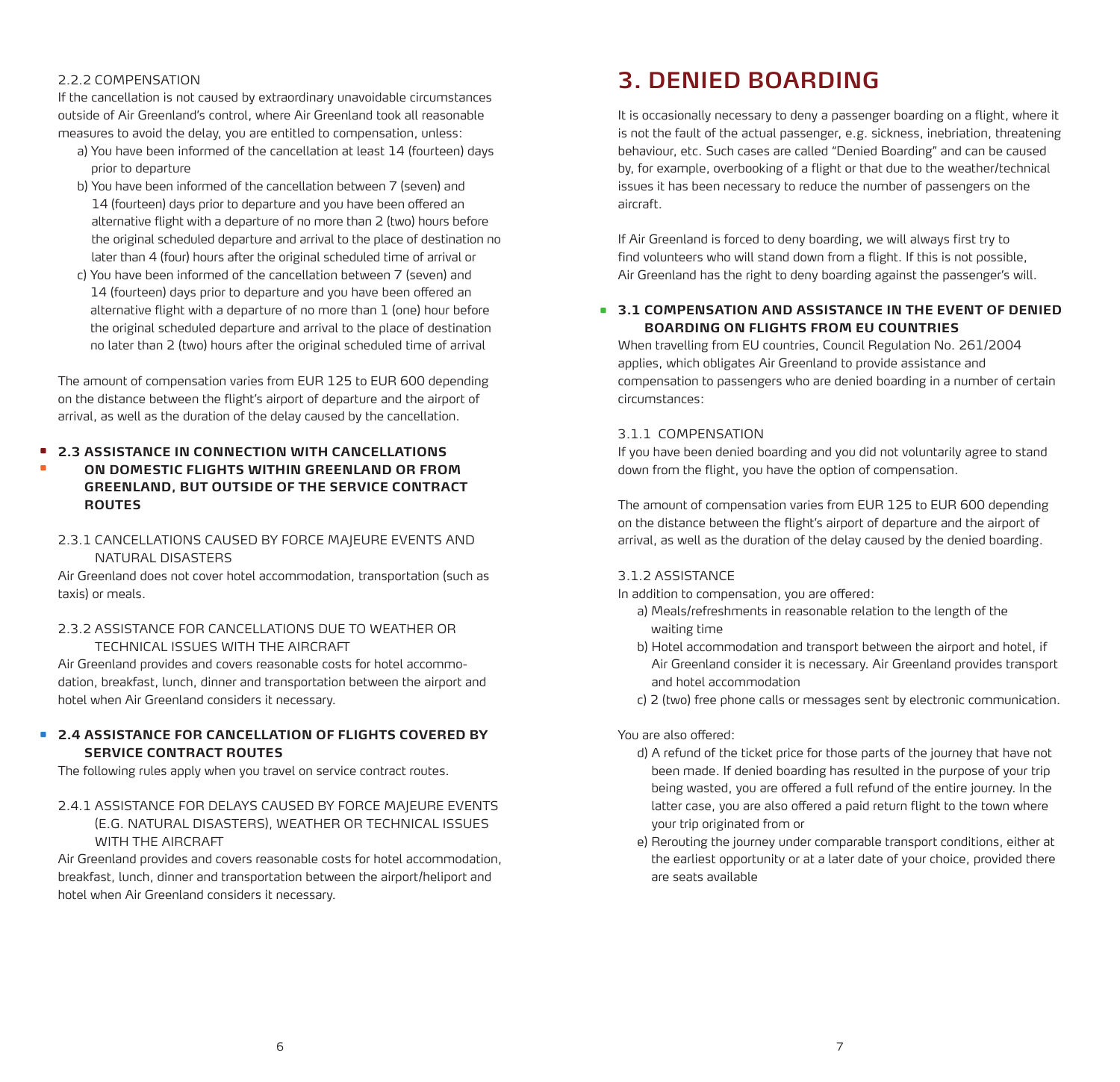#### 2.2.2 COMPENSATION

•

If the cancellation is not caused by extraordinary unavoidable circumstances outside of Air Greenland's control, where Air Greenland took all reasonable measures to avoid the delay, you are entitled to compensation, unless:

- a) You have been informed of the cancellation at least 14 (fourteen) days prior to departure
- b) You have been informed of the cancellation between 7 (seven) and 14 (fourteen) days prior to departure and you have been offered an alternative flight with a departure of no more than 2 (two) hours before the original scheduled departure and arrival to the place of destination no later than 4 (four) hours after the original scheduled time of arrival or
- c) You have been informed of the cancellation between 7 (seven) and 14 (fourteen) days prior to departure and you have been offered an alternative flight with a departure of no more than 1 (one) hour before the original scheduled departure and arrival to the place of destination no later than 2 (two) hours after the original scheduled time of arrival

The amount of compensation varies from EUR 125 to EUR 600 depending on the distance between the flight's airport of departure and the airport of arrival, as well as the duration of the delay caused by the cancellation.

#### **2.3 ASSISTANCE IN CONNECTION WITH CANCELLATIONS**  •

- **ON DOMESTIC FLIGHTS WITHIN GREENLAND OR FROM GREENLAND, BUT OUTSIDE OF THE SERVICE CONTRACT ROUTES**
- 2.3.1 CANCELLATIONS CAUSED BY FORCE MAJEURE EVENTS AND NATURAL DISASTERS

Air Greenland does not cover hotel accommodation, transportation (such as taxis) or meals.

#### 2.3.2 ASSISTANCE FOR CANCELLATIONS DUE TO WEATHER OR TECHNICAL ISSUES WITH THE AIRCRAFT

Air Greenland provides and covers reasonable costs for hotel accommodation, breakfast, lunch, dinner and transportation between the airport and hotel when Air Greenland considers it necessary.

#### **2.4 ASSISTANCE FOR CANCELLATION OF FLIGHTS COVERED BY**  • **SERVICE CONTRACT ROUTES**

The following rules apply when you travel on service contract routes.

2.4.1 ASSISTANCE FOR DELAYS CAUSED BY FORCE MAJEURE EVENTS (E.G. NATURAL DISASTERS), WEATHER OR TECHNICAL ISSUES WITH THE AIRCRAFT

Air Greenland provides and covers reasonable costs for hotel accommodation, breakfast, lunch, dinner and transportation between the airport/heliport and hotel when Air Greenland considers it necessary.

# **3. DENIED BOARDING**

It is occasionally necessary to deny a passenger boarding on a flight, where it is not the fault of the actual passenger, e.g. sickness, inebriation, threatening behaviour, etc. Such cases are called "Denied Boarding" and can be caused by, for example, overbooking of a flight or that due to the weather/technical issues it has been necessary to reduce the number of passengers on the aircraft.

If Air Greenland is forced to deny boarding, we will always first try to find volunteers who will stand down from a flight. If this is not possible, Air Greenland has the right to deny boarding against the passenger's will.

#### **3.1 COMPENSATION AND ASSISTANCE IN THE EVENT OF DENIED**  •**BOARDING ON FLIGHTS FROM EU COUNTRIES**

When travelling from EU countries, Council Regulation No. 261/2004 applies, which obligates Air Greenland to provide assistance and compensation to passengers who are denied boarding in a number of certain circumstances:

#### 3.1.1 COMPENSATION

If you have been denied boarding and you did not voluntarily agree to stand down from the flight, you have the option of compensation.

The amount of compensation varies from EUR 125 to EUR 600 depending on the distance between the flight's airport of departure and the airport of arrival, as well as the duration of the delay caused by the denied boarding.

#### 3.1.2 ASSISTANCE

In addition to compensation, you are offered:

- a) Meals/refreshments in reasonable relation to the length of the waiting time
- b) Hotel accommodation and transport between the airport and hotel, if Air Greenland consider it is necessary. Air Greenland provides transport and hotel accommodation
- c) 2 (two) free phone calls or messages sent by electronic communication.

#### You are also offered:

- d) A refund of the ticket price for those parts of the journey that have not been made. If denied boarding has resulted in the purpose of your trip being wasted, you are offered a full refund of the entire journey. In the latter case, you are also offered a paid return flight to the town where your trip originated from or
- e) Rerouting the journey under comparable transport conditions, either at the earliest opportunity or at a later date of your choice, provided there are seats available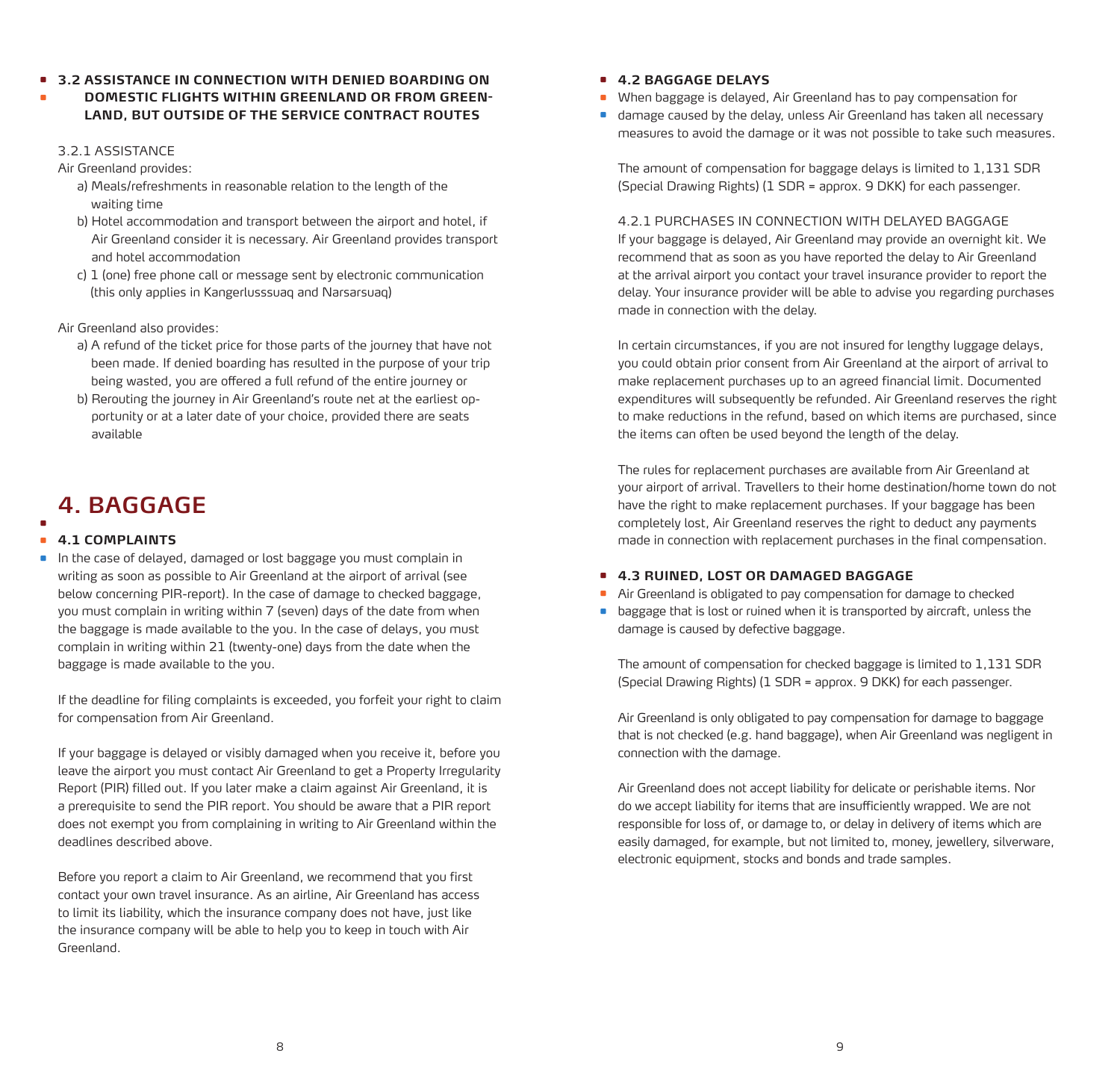- **3.2 ASSISTANCE IN CONNECTION WITH DENIED BOARDING ON**  •
- **DOMESTIC FLIGHTS WITHIN GREENLAND OR FROM GREEN-LAND, BUT OUTSIDE OF THE SERVICE CONTRACT ROUTES** •

#### 3.2.1 ASSISTANCE

Air Greenland provides:

- a) Meals/refreshments in reasonable relation to the length of the waiting time
- b) Hotel accommodation and transport between the airport and hotel, if Air Greenland consider it is necessary. Air Greenland provides transport and hotel accommodation
- c) 1 (one) free phone call or message sent by electronic communication (this only applies in Kangerlusssuaq and Narsarsuaq)

Air Greenland also provides:

- a) A refund of the ticket price for those parts of the journey that have not been made. If denied boarding has resulted in the purpose of your trip being wasted, you are offered a full refund of the entire journey or
- b) Rerouting the journey in Air Greenland's route net at the earliest opportunity or at a later date of your choice, provided there are seats available

# **4. BAGGAGE**

#### **4.1 COMPLAINTS**  • •

In the case of delayed, damaged or lost baggage you must complain in writing as soon as possible to Air Greenland at the airport of arrival (see below concerning PIR-report). In the case of damage to checked baggage, you must complain in writing within 7 (seven) days of the date from when the baggage is made available to the you. In the case of delays, you must complain in writing within 21 (twenty-one) days from the date when the baggage is made available to the you. •

If the deadline for filing complaints is exceeded, you forfeit your right to claim for compensation from Air Greenland.

If your baggage is delayed or visibly damaged when you receive it, before you leave the airport you must contact Air Greenland to get a Property Irregularity Report (PIR) filled out. If you later make a claim against Air Greenland, it is a prerequisite to send the PIR report. You should be aware that a PIR report does not exempt you from complaining in writing to Air Greenland within the deadlines described above.

Before you report a claim to Air Greenland, we recommend that you first contact your own travel insurance. As an airline, Air Greenland has access to limit its liability, which the insurance company does not have, just like the insurance company will be able to help you to keep in touch with Air Greenland.

## **4.2 BAGGAGE DELAYS** •

- When baggage is delayed, Air Greenland has to pay compensation for •
- damage caused by the delay, unless Air Greenland has taken all necessary measures to avoid the damage or it was not possible to take such measures.

The amount of compensation for baggage delays is limited to 1,131 SDR (Special Drawing Rights) (1 SDR = approx. 9 DKK) for each passenger.

4.2.1 PURCHASES IN CONNECTION WITH DELAYED BAGGAGE If your baggage is delayed, Air Greenland may provide an overnight kit. We recommend that as soon as you have reported the delay to Air Greenland at the arrival airport you contact your travel insurance provider to report the delay. Your insurance provider will be able to advise you regarding purchases made in connection with the delay.

In certain circumstances, if you are not insured for lengthy luggage delays, you could obtain prior consent from Air Greenland at the airport of arrival to make replacement purchases up to an agreed financial limit. Documented expenditures will subsequently be refunded. Air Greenland reserves the right to make reductions in the refund, based on which items are purchased, since the items can often be used beyond the length of the delay.

The rules for replacement purchases are available from Air Greenland at your airport of arrival. Travellers to their home destination/home town do not have the right to make replacement purchases. If your baggage has been completely lost, Air Greenland reserves the right to deduct any payments made in connection with replacement purchases in the final compensation.

## **4.3 RUINED, LOST OR DAMAGED BAGGAGE** •

- Air Greenland is obligated to pay compensation for damage to checked •
- baggage that is lost or ruined when it is transported by aircraft, unless the •damage is caused by defective baggage.

The amount of compensation for checked baggage is limited to 1,131 SDR (Special Drawing Rights) (1 SDR = approx. 9 DKK) for each passenger.

Air Greenland is only obligated to pay compensation for damage to baggage that is not checked (e.g. hand baggage), when Air Greenland was negligent in connection with the damage.

Air Greenland does not accept liability for delicate or perishable items. Nor do we accept liability for items that are insufficiently wrapped. We are not responsible for loss of, or damage to, or delay in delivery of items which are easily damaged, for example, but not limited to, money, jewellery, silverware, electronic equipment, stocks and bonds and trade samples.